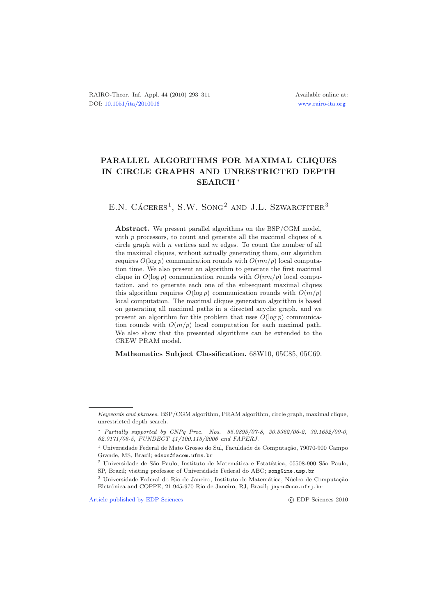# **PARALLEL ALGORITHMS FOR MAXIMAL CLIQUES IN CIRCLE GRAPHS AND UNRESTRICTED DEPTH SEARCH** ∗

E.N.  $C \acute{A} C E E S^1$ , S.W. Song<sup>2</sup> and J.L. Szwarcfiter<sup>3</sup>

**Abstract.** We present parallel algorithms on the BSP/CGM model, with  $p$  processors, to count and generate all the maximal cliques of a circle graph with  $n$  vertices and  $m$  edges. To count the number of all the maximal cliques, without actually generating them, our algorithm requires  $O(\log p)$  communication rounds with  $O(nm/p)$  local computation time. We also present an algorithm to generate the first maximal clique in  $O(\log p)$  communication rounds with  $O(nm/p)$  local computation, and to generate each one of the subsequent maximal cliques this algorithm requires  $O(\log p)$  communication rounds with  $O(m/p)$ local computation. The maximal cliques generation algorithm is based on generating all maximal paths in a directed acyclic graph, and we present an algorithm for this problem that uses  $O(\log p)$  communication rounds with  $O(m/p)$  local computation for each maximal path. We also show that the presented algorithms can be extended to the CREW PRAM model.

**Mathematics Subject Classification.** 68W10, 05C85, 05C69.

[Article published by EDP Sciences](http://www.edpsciences.org) c EDP Sciences c EDP Sciences 2010

*Keywords and phrases.* BSP/CGM algorithm, PRAM algorithm, circle graph, maximal clique, unrestricted depth search.

<sup>∗</sup> *Partially supported by CNPq Proc. Nos. 55.0895/07-8, 30.5362/06-2, 30.1652/09-0, 62.0171/06-5, FUNDECT 41/100.115/2006 and FAPERJ.*

 $1$  Universidade Federal de Mato Grosso do Sul, Faculdade de Computação, 79070-900 Campo Grande, MS, Brazil; edson@facom.ufms.br

 $^2$ Universidade de São Paulo, Instituto de Matemática e Estatística, 05508-900 São Paulo, SP, Brazil; visiting professor of Universidade Federal do ABC; song@ime.usp.br

 $3$  Universidade Federal do Rio de Janeiro, Instituto de Matemática, Núcleo de Computação Eletrônica and COPPE, 21.945-970 Rio de Janeiro, RJ, Brazil; jayme@nce.ufrj.br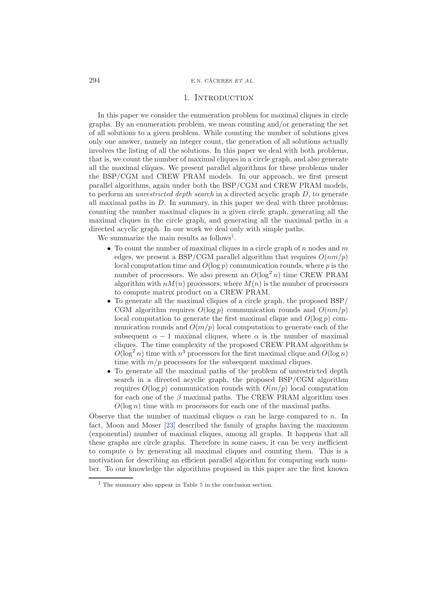#### 1. INTRODUCTION

In this paper we consider the enumeration problem for maximal cliques in circle graphs. By an enumeration problem, we mean counting and/or generating the set of all solutions to a given problem. While counting the number of solutions gives only one answer, namely an integer count, the generation of all solutions actually involves the listing of all the solutions. In this paper we deal with both problems, that is, we count the number of maximal cliques in a circle graph, and also generate all the maximal cliques. We present parallel algorithms for these problems under the BSP/CGM and CREW PRAM models. In our approach, we first present parallel algorithms, again under both the BSP/CGM and CREW PRAM models, to perform an *unrestricted depth search* in a directed acyclic graph D, to generate all maximal paths in  $D$ . In summary, in this paper we deal with three problems: counting the number maximal cliques in a given circle graph, generating all the maximal cliques in the circle graph, and generating all the maximal paths in a directed acyclic graph. In our work we deal only with simple paths.

We summarize the main results as follows<sup>[1](#page-1-0)</sup>.

- To count the number of maximal cliques in a circle graph of n nodes and  $m$ edges, we present a BSP/CGM parallel algorithm that requires  $O(nm/p)$ local computation time and  $O(\log p)$  communication rounds, where p is the number of processors. We also present an  $O(\log^2 n)$  time CREW PRAM algorithm with  $nM(n)$  processors, where  $M(n)$  is the number of processors to compute matrix product on a CREW PRAM.
- To generate all the maximal cliques of a circle graph, the proposed BSP/ CGM algorithm requires  $O(\log p)$  communication rounds and  $O(nm/p)$ local computation to generate the first maximal clique and  $O(\log p)$  communication rounds and  $O(m/p)$  local computation to generate each of the subsequent  $\alpha - 1$  maximal cliques, where  $\alpha$  is the number of maximal cliques. The time complexity of the proposed CREW PRAM algorithm is  $O(\log^2 n)$  time with  $n^3$  processors for the first maximal clique and  $O(\log n)$ time with  $m/p$  processors for the subsequent maximal cliques.
- To generate all the maximal paths of the problem of unrestricted depth search in a directed acyclic graph, the proposed BSP/CGM algorithm requires  $O(\log p)$  communication rounds with  $O(m/p)$  local computation for each one of the  $\beta$  maximal paths. The CREW PRAM algorithm uses  $O(\log n)$  time with m processors for each one of the maximal paths.

<span id="page-1-0"></span>Observe that the number of maximal cliques  $\alpha$  can be large compared to n. In fact, Moon and Moser [\[23](#page-18-0)] described the family of graphs having the maximum (exponential) number of maximal cliques, among all graphs. It happens that all these graphs are circle graphs. Therefore in some cases, it can be very inefficient to compute  $\alpha$  by generating all maximal cliques and counting them. This is a motivation for describing an efficient parallel algorithm for computing such number. To our knowledge the algorithms proposed in this paper are the first known

 $<sup>1</sup>$  The summary also appear in Table [5](#page-16-0) in the conclusion section.</sup>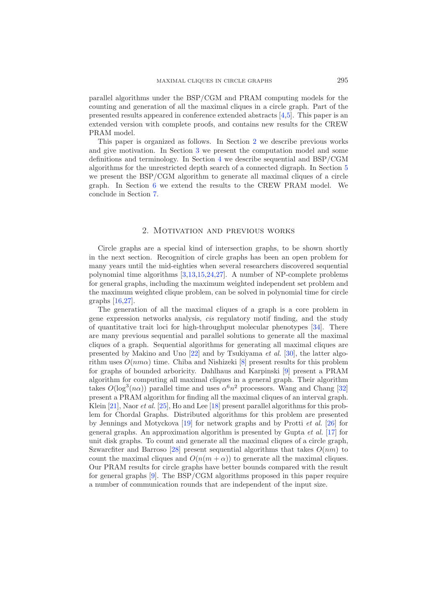parallel algorithms under the BSP/CGM and PRAM computing models for the counting and generation of all the maximal cliques in a circle graph. Part of the presented results appeared in conference extended abstracts [\[4](#page-17-0)[,5](#page-17-1)]. This paper is an extended version with complete proofs, and contains new results for the CREW PRAM model.

This paper is organized as follows. In Section [2](#page-2-0) we describe previous works and give motivation. In Section [3](#page-3-0) we present the computation model and some definitions and terminology. In Section [4](#page-6-0) we describe sequential and BSP/CGM algorithms for the unrestricted depth search of a connected digraph. In Section [5](#page-11-0) we present the BSP/CGM algorithm to generate all maximal cliques of a circle graph. In Section [6](#page-13-0) we extend the results to the CREW PRAM model. We conclude in Section [7.](#page-16-1)

#### 2. Motivation and previous works

<span id="page-2-0"></span>Circle graphs are a special kind of intersection graphs, to be shown shortly in the next section. Recognition of circle graphs has been an open problem for many years until the mid-eighties when several researchers discovered sequential polynomial time algorithms [\[3](#page-17-2)[,13](#page-17-3)[,15](#page-18-1)[,24](#page-18-2)[,27\]](#page-18-3). A number of NP-complete problems for general graphs, including the maximum weighted independent set problem and the maximum weighted clique problem, can be solved in polynomial time for circle graphs [\[16](#page-18-4)[,27\]](#page-18-3).

The generation of all the maximal cliques of a graph is a core problem in gene expression networks analysis, *cis* regulatory motif finding, and the study of quantitative trait loci for high-throughput molecular phenotypes [\[34\]](#page-18-5). There are many previous sequential and parallel solutions to generate all the maximal cliques of a graph. Sequential algorithms for generating all maximal cliques are presented by Makino and Uno [\[22\]](#page-18-6) and by Tsukiyama *et al.* [\[30](#page-18-7)], the latter algorithm uses  $O(nm\alpha)$  time. Chiba and Nishizeki [\[8\]](#page-17-4) present results for this problem for graphs of bounded arboricity. Dahlhaus and Karpinski [\[9](#page-17-5)] present a PRAM algorithm for computing all maximal cliques in a general graph. Their algorithm takes  $O(\log^3(n\alpha))$  parallel time and uses  $\alpha^6n^2$  processors. Wang and Chang [\[32\]](#page-18-8) present a PRAM algorithm for finding all the maximal cliques of an interval graph. Klein [\[21](#page-18-9)], Naor *et al.* [\[25\]](#page-18-10), Ho and Lee [\[18\]](#page-18-11) present parallel algorithms for this problem for Chordal Graphs. Distributed algorithms for this problem are presented by Jennings and Motyckova [\[19\]](#page-18-12) for network graphs and by Protti *et al.* [\[26\]](#page-18-13) for general graphs. An approximation algorithm is presented by Gupta *et al.* [\[17](#page-18-14)] for unit disk graphs. To count and generate all the maximal cliques of a circle graph, Szwarcfiter and Barroso [\[28\]](#page-18-15) present sequential algorithms that takes  $O(nm)$  to count the maximal cliques and  $O(n(m + \alpha))$  to generate all the maximal cliques. Our PRAM results for circle graphs have better bounds compared with the result for general graphs [\[9\]](#page-17-5). The BSP/CGM algorithms proposed in this paper require a number of communication rounds that are independent of the input size.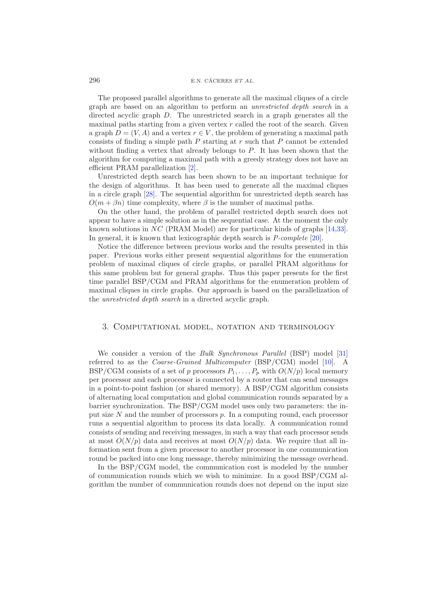#### 296 E.N. CÁCERES *ET AL.*

The proposed parallel algorithms to generate all the maximal cliques of a circle graph are based on an algorithm to perform an *unrestricted depth search* in a directed acyclic graph D. The unrestricted search in a graph generates all the maximal paths starting from a given vertex  $r$  called the root of the search. Given a graph  $D = (V, A)$  and a vertex  $r \in V$ , the problem of generating a maximal path consists of finding a simple path  $P$  starting at  $r$  such that  $P$  cannot be extended without finding a vertex that already belongs to  $P$ . It has been shown that the algorithm for computing a maximal path with a greedy strategy does not have an efficient PRAM parallelization [\[2](#page-17-6)].

Unrestricted depth search has been shown to be an important technique for the design of algorithms. It has been used to generate all the maximal cliques in a circle graph [\[28](#page-18-15)]. The sequential algorithm for unrestricted depth search has  $O(m + \beta n)$  time complexity, where  $\beta$  is the number of maximal paths.

On the other hand, the problem of parallel restricted depth search does not appear to have a simple solution as in the sequential case. At the moment the only known solutions in NC (PRAM Model) are for particular kinds of graphs [\[14](#page-17-7)[,33\]](#page-18-16). In general, it is known that lexicographic depth search is *P-complete* [\[20\]](#page-18-17).

Notice the difference between previous works and the results presented in this paper. Previous works either present sequential algorithms for the enumeration problem of maximal cliques of circle graphs, or parallel PRAM algorithms for this same problem but for general graphs. Thus this paper presents for the first time parallel BSP/CGM and PRAM algorithms for the enumeration problem of maximal cliques in circle graphs. Our approach is based on the parallelization of the *unrestricted depth search* in a directed acyclic graph.

### 3. Computational model, notation and terminology

<span id="page-3-0"></span>We consider a version of the *Bulk Synchronous Parallel* (BSP) model [\[31\]](#page-18-18) referred to as the *Coarse-Grained Multicomputer* (BSP/CGM) model [\[10\]](#page-17-8). A BSP/CGM consists of a set of p processors  $P_1, \ldots, P_p$  with  $O(N/p)$  local memory per processor and each processor is connected by a router that can send messages in a point-to-point fashion (or shared memory). A BSP/CGM algorithm consists of alternating local computation and global communication rounds separated by a barrier synchronization. The BSP/CGM model uses only two parameters: the input size N and the number of processors  $p$ . In a computing round, each processor runs a sequential algorithm to process its data locally. A communication round consists of sending and receiving messages, in such a way that each processor sends at most  $O(N/p)$  data and receives at most  $O(N/p)$  data. We require that all information sent from a given processor to another processor in one communication round be packed into one long message, thereby minimizing the message overhead.

In the BSP/CGM model, the communication cost is modeled by the number of communication rounds which we wish to minimize. In a good BSP/CGM algorithm the number of communication rounds does not depend on the input size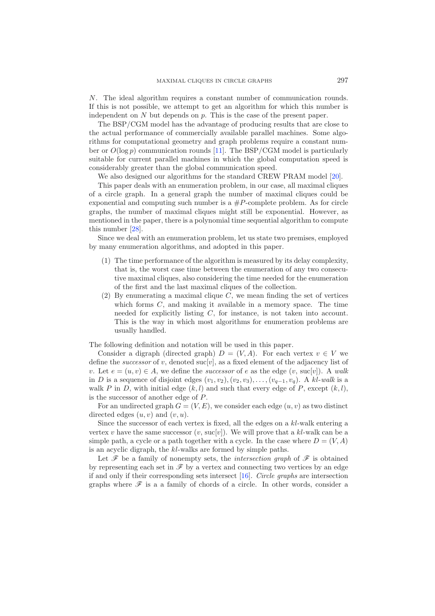N. The ideal algorithm requires a constant number of communication rounds. If this is not possible, we attempt to get an algorithm for which this number is independent on  $N$  but depends on  $p$ . This is the case of the present paper.

The BSP/CGM model has the advantage of producing results that are close to the actual performance of commercially available parallel machines. Some algorithms for computational geometry and graph problems require a constant number or  $O(\log p)$  communication rounds [\[11](#page-17-9)]. The BSP/CGM model is particularly suitable for current parallel machines in which the global computation speed is considerably greater than the global communication speed.

We also designed our algorithms for the standard CREW PRAM model [\[20\]](#page-18-17).

This paper deals with an enumeration problem, in our case, all maximal cliques of a circle graph. In a general graph the number of maximal cliques could be exponential and computing such number is a  $\#P$ -complete problem. As for circle graphs, the number of maximal cliques might still be exponential. However, as mentioned in the paper, there is a polynomial time sequential algorithm to compute this number [\[28](#page-18-15)].

Since we deal with an enumeration problem, let us state two premises, employed by many enumeration algorithms, and adopted in this paper.

- (1) The time performance of the algorithm is measured by its delay complexity, that is, the worst case time between the enumeration of any two consecutive maximal cliques, also considering the time needed for the enumeration of the first and the last maximal cliques of the collection.
- (2) By enumerating a maximal clique  $C$ , we mean finding the set of vertices which forms  $C$ , and making it available in a memory space. The time needed for explicitly listing C, for instance, is not taken into account. This is the way in which most algorithms for enumeration problems are usually handled.

The following definition and notation will be used in this paper.

Consider a digraph (directed graph)  $D = (V, A)$ . For each vertex  $v \in V$  we define the *successor* of v, denoted  $\text{su}(v)$ , as a fixed element of the adjacency list of v. Let  $e = (u, v) \in A$ , we define the *successor* of e as the edge  $(v, \text{ suc}[v])$ . A *walk* in D is a sequence of disjoint edges  $(v_1, v_2), (v_2, v_3), \ldots, (v_{q-1}, v_q)$ . A kl-walk is a walk P in D, with initial edge  $(k, l)$  and such that every edge of P, except  $(k, l)$ , is the successor of another edge of P.

For an undirected graph  $G = (V, E)$ , we consider each edge  $(u, v)$  as two distinct directed edges  $(u, v)$  and  $(v, u)$ .

Since the successor of each vertex is fixed, all the edges on a kl-walk entering a vertex v have the same successor  $(v, \text{ suc}[v])$ . We will prove that a kl-walk can be a simple path, a cycle or a path together with a cycle. In the case where  $D = (V, A)$ is an acyclic digraph, the kl-walks are formed by simple paths.

Let  $\mathscr F$  be a family of nonempty sets, the *intersection graph* of  $\mathscr F$  is obtained by representing each set in  $\mathscr F$  by a vertex and connecting two vertices by an edge if and only if their corresponding sets intersect [\[16\]](#page-18-4). *Circle graphs* are intersection graphs where  $\mathscr F$  is a a family of chords of a circle. In other words, consider a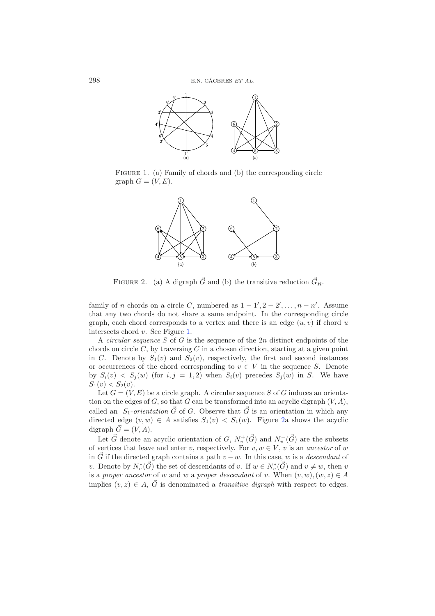<span id="page-5-0"></span>

FIGURE 1. (a) Family of chords and (b) the corresponding circle graph  $G = (V, E)$ .

<span id="page-5-1"></span>

FIGURE 2. (a) A digraph  $\vec{G}$  and (b) the transitive reduction  $\vec{G}_R$ .

family of *n* chords on a circle *C*, numbered as  $1 - 1', 2 - 2', \ldots, n - n'$ . Assume that any two chords do not share a same endpoint. In the corresponding circle graph, each chord corresponds to a vertex and there is an edge  $(u, v)$  if chord u intersects chord v. See Figure [1.](#page-5-0)

A *circular sequence* S of G is the sequence of the 2n distinct endpoints of the chords on circle  $C$ , by traversing  $C$  in a chosen direction, starting at a given point in C. Denote by  $S_1(v)$  and  $S_2(v)$ , respectively, the first and second instances or occurrences of the chord corresponding to  $v \in V$  in the sequence S. Denote by  $S_i(v) < S_j(w)$  (for  $i, j = 1, 2$ ) when  $S_i(v)$  precedes  $S_j(w)$  in S. We have  $S_1(v) < S_2(v)$ .

Let  $G = (V, E)$  be a circle graph. A circular sequence S of G induces an orientation on the edges of  $G$ , so that  $G$  can be transformed into an acyclic digraph  $(V, A)$ , called an  $S_1$ -*orientation*  $\vec{G}$  of G. Observe that  $\vec{G}$  is an orientation in which any directed edge  $(v, w) \in A$  satisfies  $S_1(v) < S_1(w)$ . Figure [2a](#page-5-1) shows the acyclic digraph  $\vec{G} = (V, A)$ .

Let  $\vec{G}$  denote an acyclic orientation of G,  $N_v^+(\vec{G})$  and  $N_v^-(\vec{G})$  are the subsets of vertices that leave and enter v, respectively. For  $v, w \in V$ , v is an *ancestor* of w in  $\vec{G}$  if the directed graph contains a path  $v - w$ . In this case, w is a *descendant* of v. Denote by  $N_v^*(\vec{G})$  the set of descendants of v. If  $w \in N_v^*(\vec{G})$  and  $v \neq w$ , then v is a *proper ancestor* of w and w a *proper descendant* of v. When  $(v, w), (w, z) \in A$ implies  $(v, z) \in A$ ,  $\vec{G}$  is denominated a *transitive digraph* with respect to edges.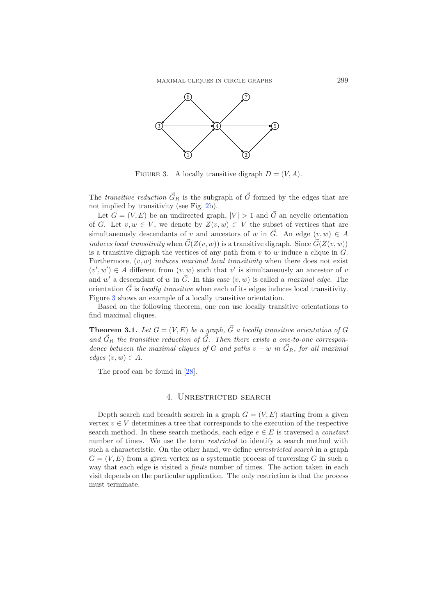<span id="page-6-1"></span>

FIGURE 3. A locally transitive digraph  $D = (V, A)$ .

The *transitive reduction*  $\vec{G}_R$  is the subgraph of  $\vec{G}$  formed by the edges that are not implied by transitivity (see Fig. [2b](#page-5-1)).

Let  $G = (V, E)$  be an undirected graph,  $|V| > 1$  and  $\vec{G}$  an acyclic orientation of G. Let  $v, w \in V$ , we denote by  $Z(v, w) \subset V$  the subset of vertices that are simultaneously descendants of v and ancestors of w in  $\vec{G}$ . An edge  $(v, w) \in A$ *induces local transitivity* when  $\vec{G}(Z(v, w))$  is a transitive digraph. Since  $\vec{G}(Z(v, w))$ is a transitive digraph the vertices of any path from  $v$  to  $w$  induce a clique in  $G$ . Furthermore,  $(v, w)$  *induces maximal local transitivity* when there does not exist  $(v', w') \in A$  different from  $(v, w)$  such that v' is simultaneously an ancestor of v and  $w'$  a descendant of w in  $\overrightarrow{G}$ . In this case  $(v, w)$  is called a *maximal edge*. The orientation  $\vec{G}$  is *locally transitive* when each of its edges induces local transitivity. Figure [3](#page-6-1) shows an example of a locally transitive orientation.

Based on the following theorem, one can use locally transitive orientations to find maximal cliques.

**Theorem 3.1.** Let  $G = (V, E)$  be a graph,  $\vec{G}$  a locally transitive orientation of G and  $\vec{G}_R$  the transitive reduction of  $\vec{G}$ . Then there exists a one-to-one correspon*dence between the maximal cliques of* G and paths  $v - w$  in  $\vec{G}_R$ , for all maximal  $edges \ (v, w) \in A$ .

The proof can be found in [\[28](#page-18-15)].

# 4. Unrestricted search

<span id="page-6-0"></span>Depth search and breadth search in a graph  $G = (V, E)$  starting from a given vertex  $v \in V$  determines a tree that corresponds to the execution of the respective search method. In these search methods, each edge  $e \in E$  is traversed a *constant* number of times. We use the term *restricted* to identify a search method with such a characteristic. On the other hand, we define *unrestricted search* in a graph  $G = (V, E)$  from a given vertex as a systematic process of traversing G in such a way that each edge is visited a *finite* number of times. The action taken in each visit depends on the particular application. The only restriction is that the process must terminate.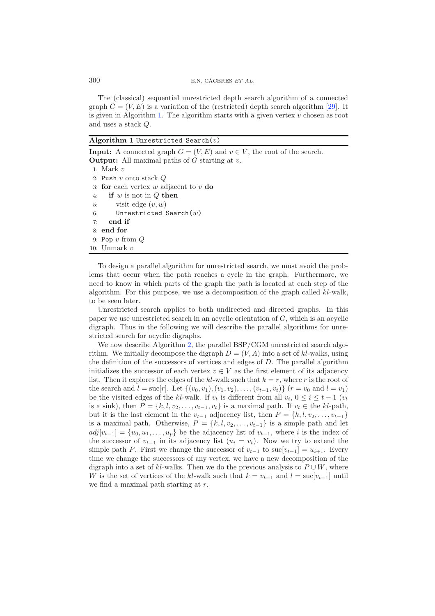The (classical) sequential unrestricted depth search algorithm of a connected graph  $G = (V, E)$  is a variation of the (restricted) depth search algorithm [\[29\]](#page-18-19). It is given in Algorithm [1.](#page-7-0) The algorithm starts with a given vertex  $v$  chosen as root and uses a stack Q.

<span id="page-7-0"></span>**Algorithm 1** Unrestricted Search(v)

**Input:** A connected graph  $G = (V, E)$  and  $v \in V$ , the root of the search. **Output:** All maximal paths of G starting at v. 1: Mark v 2: Push v onto stack Q 3: **for** each vertex w adjacent to v **do** 4: **if** w is not in Q **then** 5: visit edge  $(v, w)$ 6: Unrestricted Search $(w)$ 7: **end if** 8: **end for** 9: Pop v from Q 10: Unmark v

To design a parallel algorithm for unrestricted search, we must avoid the problems that occur when the path reaches a cycle in the graph. Furthermore, we need to know in which parts of the graph the path is located at each step of the algorithm. For this purpose, we use a decomposition of the graph called  $kl$ -walk, to be seen later.

Unrestricted search applies to both undirected and directed graphs. In this paper we use unrestricted search in an acyclic orientation of G, which is an acyclic digraph. Thus in the following we will describe the parallel algorithms for unrestricted search for acyclic digraphs.

We now describe Algorithm [2,](#page-9-0) the parallel BSP/CGM unrestricted search algorithm. We initially decompose the digraph  $D = (V, A)$  into a set of kl-walks, using the definition of the successors of vertices and edges of D. The parallel algorithm initializes the successor of each vertex  $v \in V$  as the first element of its adjacency list. Then it explores the edges of the kl-walk such that  $k = r$ , where r is the root of the search and  $l = \text{suc}[r]$ . Let  $\{(v_0, v_1), (v_1, v_2), \ldots, (v_{t-1}, v_t)\}\ (r = v_0 \text{ and } l = v_1)$ be the visited edges of the kl-walk. If  $v_t$  is different from all  $v_i$ ,  $0 \le i \le t - 1$  ( $v_t$ ) is a sink), then  $P = \{k, l, v_2, \ldots, v_{t-1}, v_t\}$  is a maximal path. If  $v_t \in$  the kl-path, but it is the last element in the  $v_{t-1}$  adjacency list, then  $P = \{k, l, v_2, \ldots, v_{t-1}\}\$ is a maximal path. Otherwise,  $P = \{k, l, v_2, \ldots, v_{t-1}\}$  is a simple path and let  $adj[v_{t-1}] = \{u_0, u_1, \ldots, u_p\}$  be the adjacency list of  $v_{t-1}$ , where i is the index of the successor of  $v_{t-1}$  in its adjacency list  $(u_i = v_t)$ . Now we try to extend the simple path P. First we change the successor of  $v_{t-1}$  to  $\text{suc}[v_{t-1}] = u_{i+1}$ . Every time we change the successors of any vertex, we have a new decomposition of the digraph into a set of kl-walks. Then we do the previous analysis to  $P \cup W$ , where W is the set of vertices of the kl-walk such that  $k = v_{t-1}$  and  $l = \text{suc}[v_{t-1}]$  until we find a maximal path starting at r.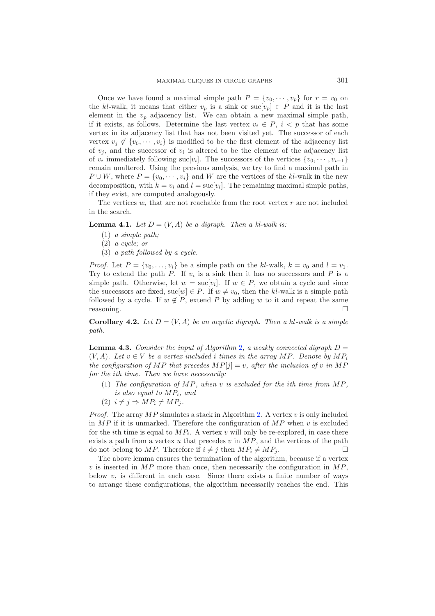Once we have found a maximal simple path  $P = \{v_0, \dots, v_p\}$  for  $r = v_0$  on the kl-walk, it means that either  $v_p$  is a sink or  $\text{suc}[v_p] \in P$  and it is the last element in the  $v_p$  adjacency list. We can obtain a new maximal simple path, if it exists, as follows. Determine the last vertex  $v_i \in P$ ,  $i < p$  that has some vertex in its adjacency list that has not been visited yet. The successor of each vertex  $v_j \notin \{v_0, \dots, v_i\}$  is modified to be the first element of the adjacency list of  $v_i$ , and the successor of  $v_i$  is altered to be the element of the adjacency list of  $v_i$  immediately following suc $[v_i]$ . The successors of the vertices  $\{v_0, \dots, v_{i-1}\}$ remain unaltered. Using the previous analysis, we try to find a maximal path in  $P \cup W$ , where  $P = \{v_0, \dots, v_i\}$  and W are the vertices of the kl-walk in the new decomposition, with  $k = v_i$  and  $l = \text{suc}[v_i]$ . The remaining maximal simple paths, if they exist, are computed analogously.

The vertices  $w_i$  that are not reachable from the root vertex r are not included in the search.

#### **Lemma 4.1.** *Let*  $D = (V, A)$  *be a digraph. Then a kl-walk is:*

- (1) *a simple path;*
- (2) *a cycle; or*
- (3) *a path followed by a cycle.*

*Proof.* Let  $P = \{v_0, \ldots, v_i\}$  be a simple path on the kl-walk,  $k = v_0$  and  $l = v_1$ . Try to extend the path  $P$ . If  $v_i$  is a sink then it has no successors and  $P$  is a simple path. Otherwise, let  $w = \text{suc}[v_i]$ . If  $w \in P$ , we obtain a cycle and since the successors are fixed,  $\text{suc}[w] \in P$ . If  $w \neq v_0$ , then the kl-walk is a simple path followed by a cycle. If  $w \notin P$ , extend P by adding w to it and repeat the same reasoning.  $\Box$  $\Box$ 

**Corollary 4.2.** Let  $D = (V, A)$  be an acyclic digraph. Then a kl-walk is a simple *path.*

<span id="page-8-0"></span>**Lemma 4.3.** *Consider the input of Algorithm* [2](#page-9-0)*, a weakly connected digraph*  $D =$  $(V, A)$ *. Let*  $v \in V$  *be a vertex included i times in the array*  $MP$ *. Denote by*  $MP_i$ *the configuration of* MP *that precedes*  $MP[j] = v$ *, after the inclusion of* v *in* MP *for the* i*th time. Then we have necessarily:*

- (1) *The configuration of* MP*, when* v *is excluded for the* i*th time from* MP*, is also equal to* MPi*, and*
- $(2)$   $i \neq j \Rightarrow MP_i \neq MP_j$ .

*Proof.* The array  $MP$  simulates a stack in Algorithm [2.](#page-9-0) A vertex v is only included in MP if it is unmarked. Therefore the configuration of  $MP$  when v is excluded for the *i*th time is equal to  $MP_i$ . A vertex v will only be re-explored, in case there exists a path from a vertex u that precedes v in  $MP$ , and the vertices of the path do not belong to MP. Therefore if  $i \neq j$  then  $MP_i \neq MP_j$ .

The above lemma ensures the termination of the algorithm, because if a vertex v is inserted in  $MP$  more than once, then necessarily the configuration in  $MP$ , below  $v$ , is different in each case. Since there exists a finite number of ways to arrange these configurations, the algorithm necessarily reaches the end. This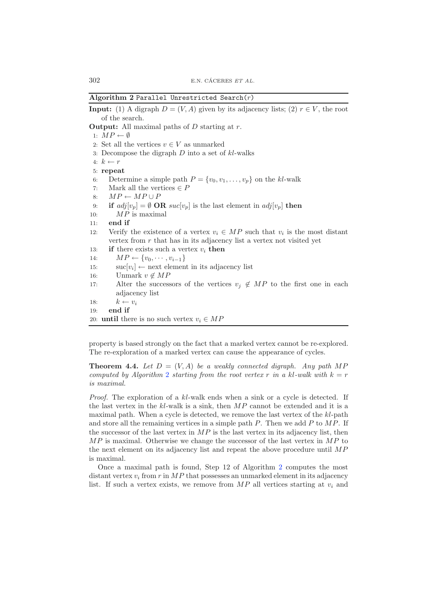#### **Algorithm 2** Parallel Unrestricted Search(r)

<span id="page-9-0"></span>**Input:** (1) A digraph  $D = (V, A)$  given by its adjacency lists; (2)  $r \in V$ , the root of the search.

- **Output:** All maximal paths of D starting at r.
- 1:  $MP \leftarrow \emptyset$
- 2: Set all the vertices  $v \in V$  as unmarked
- 3: Decompose the digraph  $D$  into a set of  $kl$ -walks
- 4:  $k \leftarrow r$
- 5: **repeat**
- 6: Determine a simple path  $P = \{v_0, v_1, \ldots, v_p\}$  on the kl-walk
- 7: Mark all the vertices  $\in P$
- 8:  $MP \leftarrow MP \cup P$
- 9: **if**  $adj[v_p] = \emptyset$  **OR**  $suc[v_p]$  is the last element in  $adj[v_p]$  **then**
- 10:  $MP$  is maximal
- 11: **end if**
- 12: Verify the existence of a vertex  $v_i \in MP$  such that  $v_i$  is the most distant vertex from  $r$  that has in its adjacency list a vertex not visited yet
- 13: **if** there exists such a vertex  $v_i$  **then**
- 14:  $MP \leftarrow \{v_0, \dots, v_{i-1}\}$ <br>15:  $\text{succ}[v_i] \leftarrow \text{next elemen}$  $\text{succ}[v_i] \leftarrow \text{next element}$  in its adjacency list
- 16: Unmark  $v \notin MP$
- 17: Alter the successors of the vertices  $v_j \notin MP$  to the first one in each adjacency list
- 18:  $k \leftarrow v_i$
- 19: **end if**

20: **until** there is no such vertex  $v_i \in MP$ 

property is based strongly on the fact that a marked vertex cannot be re-explored. The re-exploration of a marked vertex can cause the appearance of cycles.

**Theorem 4.4.** Let  $D = (V, A)$  be a weakly connected digraph. Any path MP *computed by Algorithm* [2](#page-9-0) *starting from the root vertex* r *in a* kl-walk with  $k = r$ *is maximal.*

*Proof.* The exploration of a kl-walk ends when a sink or a cycle is detected. If the last vertex in the  $kl$ -walk is a sink, then  $MP$  cannot be extended and it is a maximal path. When a cycle is detected, we remove the last vertex of the  $kl$ -path and store all the remaining vertices in a simple path  $P$ . Then we add  $P$  to  $MP$ . If the successor of the last vertex in  $MP$  is the last vertex in its adjacency list, then  $MP$  is maximal. Otherwise we change the successor of the last vertex in  $MP$  to the next element on its adjacency list and repeat the above procedure until MP is maximal.

Once a maximal path is found, Step 12 of Algorithm [2](#page-9-0) computes the most distant vertex  $v_i$  from r in  $MP$  that possesses an unmarked element in its adjacency list. If such a vertex exists, we remove from  $MP$  all vertices starting at  $v_i$  and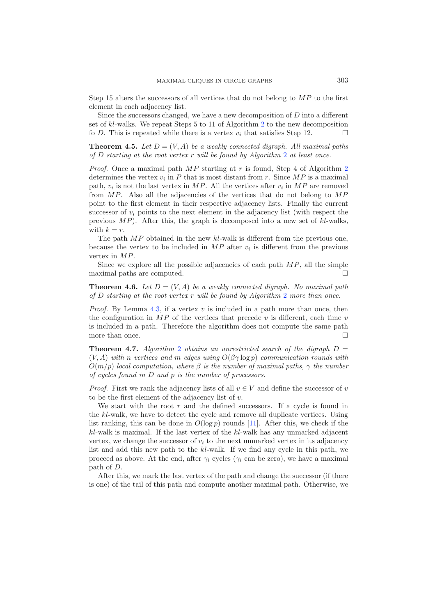Step 15 alters the successors of all vertices that do not belong to  $MP$  to the first element in each adjacency list.

Since the successors changed, we have a new decomposition of D into a different set of kl-walks. We repeat Steps 5 to 11 of Algorithm [2](#page-9-0) to the new decomposition fo D. This is repeated while there is a vertex  $v_i$  that satisfies Step 12.  $\Box$ 

**Theorem 4.5.** *Let*  $D = (V, A)$  *be a weakly connected digraph. All maximal paths of* D *starting at the root vertex* r *will be found by Algorithm* [2](#page-9-0) *at least once.*

*Proof.* Once a maximal path  $MP$  starting at r is found, Step 4 of Algorithm [2](#page-9-0) determines the vertex  $v_i$  in P that is most distant from r. Since  $MP$  is a maximal path,  $v_i$  is not the last vertex in MP. All the vertices after  $v_i$  in MP are removed from  $MP$ . Also all the adjacencies of the vertices that do not belong to  $MP$ point to the first element in their respective adjacency lists. Finally the current successor of  $v_i$  points to the next element in the adjacency list (with respect the previous  $MP$ ). After this, the graph is decomposed into a new set of kl-walks, with  $k = r$ .

The path  $MP$  obtained in the new  $kl$ -walk is different from the previous one, because the vertex to be included in  $MP$  after  $v_i$  is different from the previous vertex in MP.

Since we explore all the possible adjacencies of each path  $MP$ , all the simple maximal paths are computed.  $\Box$ 

**Theorem 4.6.** Let  $D = (V, A)$  be a weakly connected digraph. No maximal path *of* D *starting at the root vertex* r *will be found by Algorithm* [2](#page-9-0) *more than once.*

*Proof.* By Lemma [4.3,](#page-8-0) if a vertex  $v$  is included in a path more than once, then the configuration in  $MP$  of the vertices that precede v is different, each time v is included in a path. Therefore the algorithm does not compute the same path more than once.  $\Box$ 

**Theorem 4.7.** *Algorithm* [2](#page-9-0) *obtains an unrestricted search of the digraph*  $D =$  $(V, A)$  *with* n *vertices and* m *edges using*  $O(\beta \gamma \log p)$  *communication rounds with*  $O(m/p)$  *local computation, where*  $\beta$  *is the number of maximal paths,*  $\gamma$  *the number of cycles found in* D *and* p *is the number of processors.*

*Proof.* First we rank the adjacency lists of all  $v \in V$  and define the successor of v to be the first element of the adjacency list of  $v$ .

We start with the root  $r$  and the defined successors. If a cycle is found in the kl-walk, we have to detect the cycle and remove all duplicate vertices. Using list ranking, this can be done in  $O(\log p)$  rounds [\[11\]](#page-17-9). After this, we check if the  $kl$ -walk is maximal. If the last vertex of the  $kl$ -walk has any unmarked adjacent vertex, we change the successor of  $v_i$  to the next unmarked vertex in its adjacency list and add this new path to the kl-walk. If we find any cycle in this path, we proceed as above. At the end, after  $\gamma_i$  cycles ( $\gamma_i$  can be zero), we have a maximal path of D.

After this, we mark the last vertex of the path and change the successor (if there is one) of the tail of this path and compute another maximal path. Otherwise, we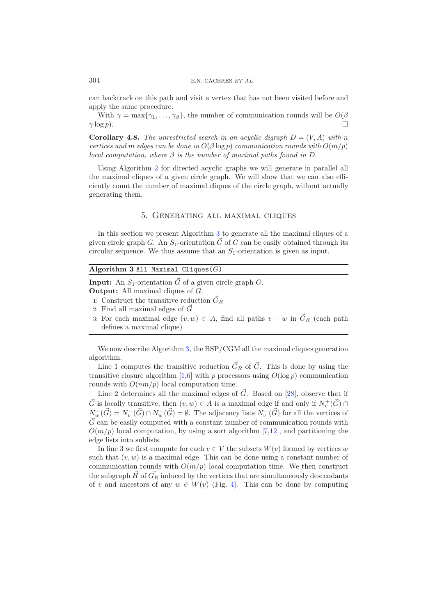can backtrack on this path and visit a vertex that has not been visited before and apply the same procedure.

With  $\gamma = \max{\{\gamma_1, \ldots, \gamma_\beta\}}$ , the number of communication rounds will be  $O(\beta)$  $\gamma \log p$ ).

**Corollary 4.8.** *The unrestricted search in an acyclic digraph*  $D = (V, A)$  *with* n *vertices and* m *edges can be done in*  $O(\beta \log p)$  *communication rounds with*  $O(m/p)$ *local computation, where*  $\beta$  *is the number of maximal paths found in*  $D$ *.* 

Using Algorithm [2](#page-9-0) for directed acyclic graphs we will generate in parallel all the maximal cliques of a given circle graph. We will show that we can also efficiently count the number of maximal cliques of the circle graph, without actually generating them.

### 5. Generating all maximal cliques

<span id="page-11-0"></span>In this section we present Algorithm [3](#page-11-1) to generate all the maximal cliques of a given circle graph G. An  $S_1$ -orientation  $\vec{G}$  of G can be easily obtained through its circular sequence. We thus assume that an  $S_1$ -orientation is given as input.

<span id="page-11-1"></span>

|  | Algorithm 3 All Maximal Cliques $(G)$ |
|--|---------------------------------------|

**Input:** An  $S_1$ -orientation  $\vec{G}$  of a given circle graph  $G$ . **Output:** All maximal cliques of G.

- 1: Construct the transitive reduction  $\vec{G}_R$
- 2: Find all maximal edges of  $\vec{G}$
- 3: For each maximal edge  $(v, w) \in A$ , find all paths  $v w$  in  $\vec{G}_R$  (each path defines a maximal clique)

We now describe Algorithm [3,](#page-11-1) the BSP/CGM all the maximal cliques generation algorithm.

Line 1 computes the transitive reduction  $\vec{G}_R$  of  $\vec{G}$ . This is done by using the transitive closure algorithm [\[1](#page-17-10)[,6\]](#page-17-11) with p processors using  $O(\log p)$  communication rounds with  $O(nm/p)$  local computation time.

Line 2 determines all the maximal edges of  $\vec{G}$ . Based on [\[28\]](#page-18-15), observe that if  $\vec{G}$  is locally transitive, then  $(v, w) \in A$  is a maximal edge if and only if  $N_v^+(\vec{G}) \cap$  $N_w^+(\vec{G}) = N_w^-(\vec{G}) \cap N_w^-(\vec{G}) = \emptyset$ . The adjacency lists  $N_w^-(\vec{G})$  for all the vertices of  $\vec{G}$  can be easily computed with a constant number of communication rounds with  $O(m/p)$  local computation, by using a sort algorithm [\[7](#page-17-12)[,12\]](#page-17-13), and partitioning the edge lists into sublists.

In line 3 we first compute for each  $v \in V$  the subsets  $W(v)$  formed by vertices w such that  $(v, w)$  is a maximal edge. This can be done using a constant number of communication rounds with  $O(m/p)$  local computation time. We then construct the subgraph  $\vec{H}$  of  $\vec{G_R}$  induced by the vertices that are simultaneously descendants of v and ancestors of any  $w \in W(v)$  (Fig. [4\)](#page-12-0). This can be done by computing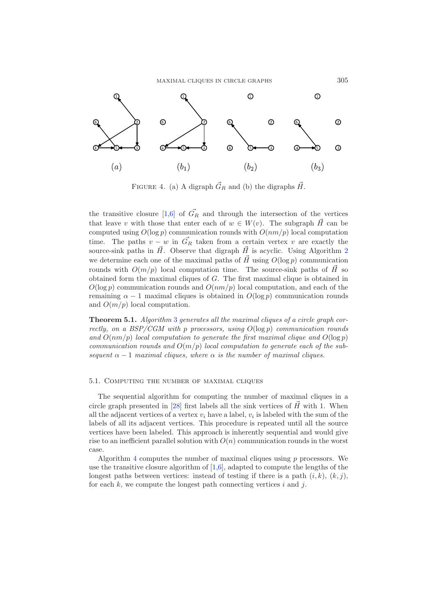

<span id="page-12-0"></span>FIGURE 4. (a) A digraph  $\vec{G}_R$  and (b) the digraphs  $\vec{H}$ .

the transitive closure [\[1](#page-17-10)[,6](#page-17-11)] of  $\vec{G_R}$  and through the intersection of the vertices that leave v with those that enter each of  $w \in W(v)$ . The subgraph  $\vec{H}$  can be computed using  $O(\log p)$  communication rounds with  $O(nm/p)$  local computation time. The paths  $v - w$  in  $\vec{G}_R$  taken from a certain vertex v are exactly the source-sink paths in  $\vec{H}$ . Observe that digraph  $\vec{H}$  is acyclic. Using Algorithm [2](#page-9-0) we determine each one of the maximal paths of  $\vec{H}$  using  $O(\log p)$  communication rounds with  $O(m/p)$  local computation time. The source-sink paths of  $\vec{H}$  so obtained form the maximal cliques of G. The first maximal clique is obtained in  $O(\log p)$  communication rounds and  $O(nm/p)$  local computation, and each of the remaining  $\alpha - 1$  maximal cliques is obtained in  $O(\log p)$  communication rounds and  $O(m/p)$  local computation.

**Theorem 5.1.** *Algorithm* [3](#page-11-1) *generates all the maximal cliques of a circle graph correctly, on a BSP/CGM with* p *processors, using* O(log p) *communication rounds* and  $O(nm/p)$  *local computation to generate the first maximal clique and*  $O(\log p)$ *communication rounds and*  $O(m/p)$  *local computation to generate each of the subsequent*  $\alpha - 1$  *maximal cliques, where*  $\alpha$  *is the number of maximal cliques.* 

#### 5.1. Computing the number of maximal cliques

The sequential algorithm for computing the number of maximal cliques in a circle graph presented in [\[28](#page-18-15)] first labels all the sink vertices of  $\vec{H}$  with 1. When all the adjacent vertices of a vertex  $v_i$  have a label,  $v_i$  is labeled with the sum of the labels of all its adjacent vertices. This procedure is repeated until all the source vertices have been labeled. This approach is inherently sequential and would give rise to an inefficient parallel solution with  $O(n)$  communication rounds in the worst case.

Algorithm  $4$  computes the number of maximal cliques using  $p$  processors. We use the transitive closure algorithm of  $[1,6]$  $[1,6]$  $[1,6]$ , adapted to compute the lengths of the longest paths between vertices: instead of testing if there is a path  $(i, k)$ ,  $(k, j)$ , for each  $k$ , we compute the longest path connecting vertices  $i$  and  $j$ .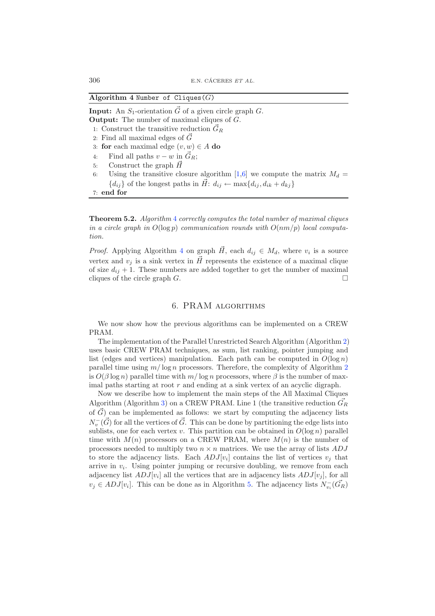<span id="page-13-1"></span>**Algorithm 4** Number of Cliques(G)

**Input:** An  $S_1$ -orientation  $\vec{G}$  of a given circle graph  $G$ . **Output:** The number of maximal cliques of G. 1: Construct the transitive reduction  $G_R$ 2: Find all maximal edges of  $\vec{G}$ 3: **for** each maximal edge  $(v, w) \in A$  **do** 4: Find all paths  $v - w$  in  $\vec{G}_R$ ; 5: Construct the graph  $\vec{H}$ 6: Using the transitive closure algorithm [\[1](#page-17-10)[,6\]](#page-17-11) we compute the matrix  $M_d =$  ${d_{ij}}$  of the longest paths in  $\vec{H}$ :  $d_{ij} \leftarrow \max\{d_{ij}, d_{ik} + d_{kj}\}$ 7: **end for**

**Theorem 5.2.** *Algorithm* [4](#page-13-1) *correctly computes the total number of maximal cliques in a circle graph in*  $O(\log p)$  *communication rounds with*  $O(nm/p)$  *local computation.*

*Proof.* Applying Algorithm [4](#page-13-1) on graph  $\vec{H}$ , each  $d_{ij} \in M_d$ , where  $v_i$  is a source vertex and  $v_i$  is a sink vertex in  $\vec{H}$  represents the existence of a maximal clique of size  $d_{ij} + 1$ . These numbers are added together to get the number of maximal cliques of the circle graph  $G$ .

#### 6. PRAM algorithms

<span id="page-13-0"></span>We now show how the previous algorithms can be implemented on a CREW PRAM.

The implementation of the Parallel Unrestricted Search Algorithm (Algorithm [2\)](#page-9-0) uses basic CREW PRAM techniques, as sum, list ranking, pointer jumping and list (edges and vertices) manipulation. Each path can be computed in  $O(\log n)$ parallel time using  $m/\log n$  processors. Therefore, the complexity of Algorithm [2](#page-9-0) is  $O(\beta \log n)$  parallel time with  $m/\log n$  processors, where  $\beta$  is the number of maximal paths starting at root r and ending at a sink vertex of an acyclic digraph.

Now we describe how to implement the main steps of the All Maximal Cliques Algorithm (Algorithm [3\)](#page-11-1) on a CREW PRAM. Line 1 (the transitive reduction  $\vec{G_R}$ of  $\vec{G}$  can be implemented as follows: we start by computing the adjacency lists  $N_v^-(\vec{G})$  for all the vertices of  $\vec{G}$ . This can be done by partitioning the edge lists into sublists, one for each vertex v. This partition can be obtained in  $O(\log n)$  parallel time with  $M(n)$  processors on a CREW PRAM, where  $M(n)$  is the number of processors needed to multiply two  $n \times n$  matrices. We use the array of lists  $ADJ$ to store the adjacency lists. Each  $ADJ[v_i]$  contains the list of vertices  $v_i$  that arrive in  $v_i$ . Using pointer jumping or recursive doubling, we remove from each adjacency list  $ADJ[v_i]$  all the vertices that are in adjacency lists  $ADJ[v_i]$ , for all  $v_j \in ADJ[v_i]$ . This can be done as in Algorithm [5.](#page-14-0) The adjacency lists  $N_{v_i}(\vec{G_R})$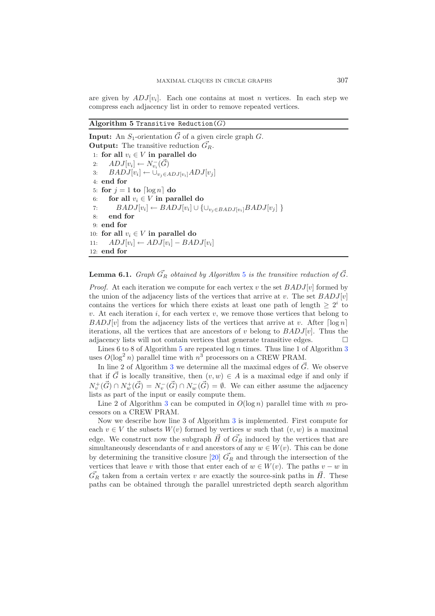are given by  $ADJ[v_i]$ . Each one contains at most n vertices. In each step we compress each adjacency list in order to remove repeated vertices.

### <span id="page-14-0"></span>**Algorithm 5** Transitive Reduction $(G)$

**Input:** An  $S_1$ -orientation  $\vec{G}$  of a given circle graph  $G$ . **Output:** The transitive reduction  $\vec{G}_R$ . 1: **for all**  $v_i \in V$  **in parallel do** 2:  $ADJ[v_i] \leftarrow N_{v_i}(\vec{G})$ 3:  $BADJ[v_i] \leftarrow \bigcup_{v_i \in ADJ[v_i]} ADJ[v_j]$ 4: **end for** 5: for  $j = 1$  to  $\lceil \log n \rceil$  do 6: **for all**  $v_i \in V$  in parallel do 7:  $BADJ[v_i] \leftarrow BADJ[v_i] \cup \{\cup_{v_j \in BADJ[v_i]} BADJ[v_j] \}$ <br>8: **end for** 8: **end for** 9: **end for** 10: **for all**  $v_i \in V$  **in parallel do** 11:  $ADJ[v_i] \leftarrow ADJ[v_i] - BADJ[v_i]$ 12: **end for**

# **Lemma 6.1.** *Graph*  $\vec{G_R}$  *obtained by Algorithm* [5](#page-14-0) *is the transitive reduction of*  $\vec{G}$ *.*

*Proof.* At each iteration we compute for each vertex v the set  $BADJ[v]$  formed by the union of the adjacency lists of the vertices that arrive at v. The set  $BADJ[v]$ contains the vertices for which there exists at least one path of length  $\geq 2^i$  to v. At each iteration  $i$ , for each vertex  $v$ , we remove those vertices that belong to  $BADJ[v]$  from the adjacency lists of the vertices that arrive at v. After  $\lceil \log n \rceil$ iterations, all the vertices that are ancestors of v belong to  $BADJ[v]$ . Thus the adjacency lists will not contain vertices that generate transitive edges.  $\Box$ 

Lines 6 to 8 of Algorithm  $5$  are repeated  $\log n$  times. Thus line 1 of Algorithm  $3$ uses  $O(\log^2 n)$  parallel time with  $n^3$  processors on a CREW PRAM.

In line 2 of Algorithm [3](#page-11-1) we determine all the maximal edges of  $\vec{G}$ . We observe that if  $\vec{G}$  is locally transitive, then  $(v, w) \in A$  is a maximal edge if and only if  $N_v^+(\vec{G}) \cap N_w^+(\vec{G}) = N_v^-(\vec{G}) \cap N_w^-(\vec{G}) = \emptyset$ . We can either assume the adjacency lists as part of the input or easily compute them.

Line 2 of Algorithm [3](#page-11-1) can be computed in  $O(\log n)$  parallel time with m processors on a CREW PRAM.

Now we describe how line 3 of Algorithm [3](#page-11-1) is implemented. First compute for each  $v \in V$  the subsets  $W(v)$  formed by vertices w such that  $(v, w)$  is a maximal edge. We construct now the subgraph  $\vec{H}$  of  $\vec{G_R}$  induced by the vertices that are simultaneously descendants of v and ancestors of any  $w \in W(v)$ . This can be done by determining the transitive closure [\[20\]](#page-18-17)  $\vec{G_R}$  and through the intersection of the vertices that leave v with those that enter each of  $w \in W(v)$ . The paths  $v - w$  in  $\vec{G}_R$  taken from a certain vertex v are exactly the source-sink paths in  $\vec{H}$ . These paths can be obtained through the parallel unrestricted depth search algorithm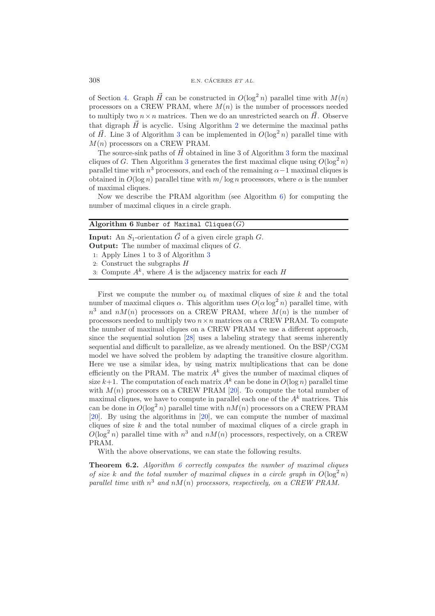of Section [4.](#page-6-0) Graph  $\vec{H}$  can be constructed in  $O(\log^2 n)$  parallel time with  $M(n)$ processors on a CREW PRAM, where  $M(n)$  is the number of processors needed to multiply two  $n \times n$  matrices. Then we do an unrestricted search on  $\vec{H}$ . Observe that digraph  $\vec{H}$  is acyclic. Using Algorithm [2](#page-9-0) we determine the maximal paths of  $\vec{H}$ . Line [3](#page-11-1) of Algorithm 3 can be implemented in  $O(\log^2 n)$  parallel time with  $M(n)$  processors on a CREW PRAM.

The source-sink paths of  $\vec{H}$  obtained in line [3](#page-11-1) of Algorithm 3 form the maximal cliques of G. Then Algorithm [3](#page-11-1) generates the first maximal clique using  $O(\log^2 n)$ parallel time with  $n^3$  processors, and each of the remaining  $\alpha-1$  maximal cliques is obtained in  $O(\log n)$  parallel time with  $m/\log n$  processors, where  $\alpha$  is the number of maximal cliques.

Now we describe the PRAM algorithm (see Algorithm  $6$ ) for computing the number of maximal cliques in a circle graph.

| Algorithm 6 Number of Maximal Cliques $(G)$ |  |
|---------------------------------------------|--|
|---------------------------------------------|--|

<span id="page-15-0"></span>**Input:** An  $S_1$ -orientation  $\vec{G}$  of a given circle graph  $G$ . **Output:** The number of maximal cliques of G. 1: Apply Lines 1 to 3 of Algorithm [3](#page-11-1) 2: Construct the subgraphs H 3: Compute  $A^k$ , where  $\tilde{A}$  is the adjacency matrix for each  $H$ 

First we compute the number  $\alpha_k$  of maximal cliques of size k and the total number of maximal cliques  $\alpha$ . This algorithm uses  $O(\alpha \log^2 n)$  parallel time, with  $n^3$  and  $nM(n)$  processors on a CREW PRAM, where  $M(n)$  is the number of processors needed to multiply two  $n \times n$  matrices on a CREW PRAM. To compute the number of maximal cliques on a CREW PRAM we use a different approach, since the sequential solution [\[28](#page-18-15)] uses a labeling strategy that seems inherently sequential and difficult to parallelize, as we already mentioned. On the BSP/CGM model we have solved the problem by adapting the transitive closure algorithm. Here we use a similar idea, by using matrix multiplications that can be done efficiently on the PRAM. The matrix  $A<sup>k</sup>$  gives the number of maximal cliques of size  $k+1$ . The computation of each matrix  $A^k$  can be done in  $O(\log n)$  parallel time with  $M(n)$  processors on a CREW PRAM [\[20\]](#page-18-17). To compute the total number of maximal cliques, we have to compute in parallel each one of the  $A<sup>k</sup>$  matrices. This can be done in  $O(\log^2 n)$  parallel time with  $nM(n)$  processors on a CREW PRAM [\[20\]](#page-18-17). By using the algorithms in [\[20\]](#page-18-17), we can compute the number of maximal cliques of size  $k$  and the total number of maximal cliques of a circle graph in  $O(\log^2 n)$  parallel time with  $n^3$  and  $nM(n)$  processors, respectively, on a CREW PRAM.

With the above observations, we can state the following results.

**Theorem 6.2.** *Algorithm [6](#page-15-0) correctly computes the number of maximal cliques of size* k and the total number of maximal cliques in a circle graph in  $O(\log^2 n)$ *parallel time with*  $n^3$  *and*  $nM(n)$  *processors, respectively, on a CREW PRAM.*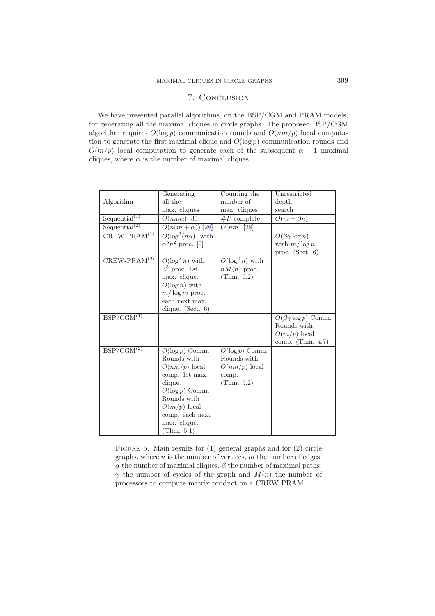# <span id="page-16-0"></span>7. Conclusion

<span id="page-16-1"></span>We have presented parallel algorithms, on the BSP/CGM and PRAM models, for generating all the maximal cliques in circle graphs. The proposed BSP/CGM algorithm requires  $O(\log p)$  communication rounds and  $O(nm/p)$  local computation to generate the first maximal clique and  $O(\log p)$  communication rounds and  $O(m/p)$  local computation to generate each of the subsequent  $\alpha - 1$  maximal cliques, where  $\alpha$  is the number of maximal cliques.

|                                     | Generating                | Counting $\overline{\text{the}}$ | Unrestricted                   |
|-------------------------------------|---------------------------|----------------------------------|--------------------------------|
| Algorithm                           | all the                   | number of                        | depth                          |
|                                     | max. cliques              | max. cliques                     | search                         |
| Sequential $(1)$                    | $O(nm\alpha)$ [30]        | $#P$ -complete                   | $O(m + \beta n)$               |
| Sequential <sup>(2)</sup>           | $O(n(m+\alpha))$ [28]     | $\left[28\right]$<br>O(nm)       |                                |
| $CREW-PRAM(1)$                      | $O(\log^3(n\alpha))$ with |                                  | $O(\beta \gamma \log n)$       |
|                                     | $\alpha^6 n^2$ proc. [9]  |                                  | with $m/\log n$                |
|                                     |                           |                                  | proc. $(Sect. 6)$              |
| $CREW-PRAM(2)$                      | $O(\log^2 n)$ with        | $O(\log^2 n)$ with               |                                |
|                                     | $n^3$ proc. 1st           | $nM(n)$ proc.                    |                                |
|                                     | max. clique.              | (Thm. $6.2$ )                    |                                |
|                                     | $O(\log n)$ with          |                                  |                                |
|                                     | $m/\log m$ proc.          |                                  |                                |
|                                     | each next max.            |                                  |                                |
|                                     | clique. (Sect. 6)         |                                  |                                |
| BSP/CGM <sup>(1)</sup>              |                           |                                  | $O(\beta \gamma \log p)$ Comm. |
|                                     |                           |                                  | Rounds with                    |
|                                     |                           |                                  | $O(m/p)$ local                 |
|                                     |                           |                                  | comp. $(Thm. 4.7)$             |
| $\overline{\mathrm{BSP/CGM}^{(2)}}$ | $O(\log p)$ Comm.         | $O(\log p)$ Comm.                |                                |
|                                     | Rounds with               | Rounds with                      |                                |
|                                     | $O(nm/p)$ local           | $O(nm/p)$ local                  |                                |
|                                     | comp. 1st max.            | comp.                            |                                |
|                                     | clique.                   | (Thm. 5.2)                       |                                |
|                                     | $O(\log p)$ Comm.         |                                  |                                |
|                                     | Rounds with               |                                  |                                |
|                                     | $O(m/p)$ local            |                                  |                                |
|                                     | comp. each next           |                                  |                                |
|                                     | max. clique.              |                                  |                                |
|                                     | (Thm. 5.1)                |                                  |                                |

FIGURE 5. Main results for  $(1)$  general graphs and for  $(2)$  circle graphs, where  $n$  is the number of vertices,  $m$  the number of edges,  $\alpha$  the number of maximal cliques,  $\beta$  the number of maximal paths,  $\gamma$  the number of cycles of the graph and  $M(n)$  the number of processors to compute matrix product on a CREW PRAM.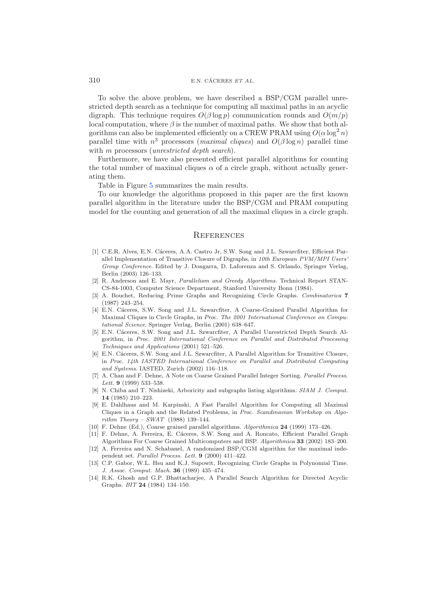To solve the above problem, we have described a BSP/CGM parallel unrestricted depth search as a technique for computing all maximal paths in an acyclic digraph. This technique requires  $O(\beta \log p)$  communication rounds and  $O(m/p)$ local computation, where  $\beta$  is the number of maximal paths. We show that both algorithms can also be implemented efficiently on a CREW PRAM using  $O(\alpha \log^2 n)$ parallel time with  $n^3$  processors (*maximal cliques*) and  $O(\beta \log n)$  parallel time with m processors (*unrestricted depth search*).

Furthermore, we have also presented efficient parallel algorithms for counting the total number of maximal cliques  $\alpha$  of a circle graph, without actually generating them.

Table in Figure [5](#page-16-0) summarizes the main results.

To our knowledge the algorithms proposed in this paper are the first known parallel algorithm in the literature under the BSP/CGM and PRAM computing model for the counting and generation of all the maximal cliques in a circle graph.

#### **REFERENCES**

- <span id="page-17-10"></span>[1] C.E.R. Alves, E.N. Cáceres, A.A. Castro Jr, S.W. Song and J.L. Szwarcfiter, Efficient Parallel Implementation of Transitive Closure of Digraphs, in *10th European PVM/MPI Users' Group Conference*. Edited by J. Dongarra, D. Laforenza and S. Orlando, Springer Verlag, Berlin (2003) 126–133.
- <span id="page-17-6"></span>[2] R. Anderson and E. Mayr, *Parallelism and Greedy Algorithms.* Technical Report STAN-CS-84-1003, Computer Science Department, Stanford University Bonn (1984).
- <span id="page-17-2"></span>[3] A. Bouchet, Reducing Prime Graphs and Recognizing Circle Graphs. *Combinatorica* **7** (1987) 243–254.
- <span id="page-17-0"></span>[4] E.N. Cáceres, S.W. Song and J.L. Szwarcfiter, A Coarse-Grained Parallel Algorithm for Maximal Cliques in Circle Graphs, in *Proc. The 2001 International Conference on Computational Science*. Springer Verlag, Berlin (2001) 638–647.
- <span id="page-17-1"></span>[5] E.N. Cáceres, S.W. Song and J.L. Szwarcfiter, A Parallel Unrestricted Depth Search Algorithm, in *Proc. 2001 International Conference on Parallel and Distributed Processing Techniques and Applications* (2001) 521–526.
- <span id="page-17-11"></span>[6] E.N. Cáceres, S.W. Song and J.L. Szwarcfiter, A Parallel Algorithm for Transitive Closure, in *Proc. 14th IASTED International Conference on Parallel and Distributed Computing and Systems*. IASTED, Zurich (2002) 116–118.
- <span id="page-17-12"></span>[7] A. Chan and F. Dehne, A Note on Coarse Grained Parallel Integer Sorting. *Parallel Process. Lett.* **9** (1999) 533–538.
- <span id="page-17-4"></span>[8] N. Chiba and T. Nishizeki, Arboricity and subgraphs listing algorithms. *SIAM J. Comput.* **14** (1985) 210–223.
- <span id="page-17-5"></span>[9] E. Dahlhaus and M. Karpinski, A Fast Parallel Algorithm for Computing all Maximal Cliques in a Graph and the Related Problems, in *Proc. Scandinavian Workshop on Algorithm Theory – SWAT* (1988) 139–144.
- [10] F. Dehne (Ed.), Coarse grained parallel algorithms. *Algorithmica* **24** (1999) 173–426.
- <span id="page-17-9"></span><span id="page-17-8"></span>[11] F. Dehne, A. Ferreira, E. Cáceres, S.W. Song and A. Roncato, Efficient Parallel Graph Algorithms For Coarse Grained Multicomputers and BSP. *Algorithmica* **33** (2002) 183–200.
- <span id="page-17-13"></span>[12] A. Ferreira and N. Schabanel, A randomized BSP/CGM algorithm for the maximal independent set. *Parallel Process. Lett.* **9** (2000) 411–422.
- <span id="page-17-3"></span>[13] C.P. Gabor, W.L. Hsu and K.J. Supowit, Recognizing Circle Graphs in Polynomial Time. *J. Assoc. Comput. Mach.* **36** (1989) 435–474.
- <span id="page-17-7"></span>[14] R.K. Ghosh and G.P. Bhattacharjee, A Parallel Search Algorithm for Directed Acyclic Graphs. *BIT* **24** (1984) 134–150.